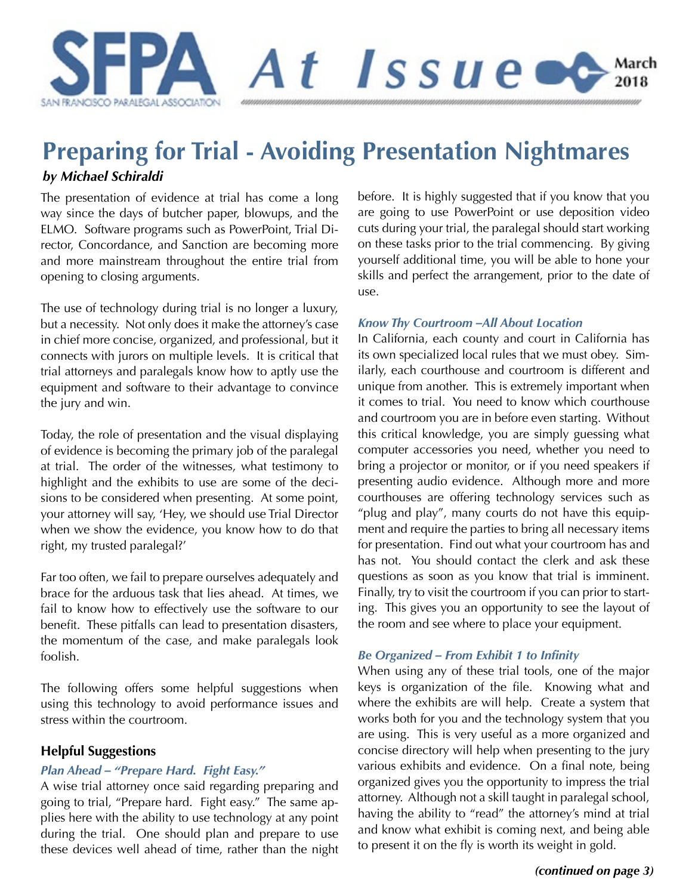

# **Preparing for Trial - Avoiding Presentation Nightmares**

## *by Michael Schiraldi*

The presentation of evidence at trial has come a long way since the days of butcher paper, blowups, and the ELMO. Software programs such as PowerPoint, Trial Director, Concordance, and Sanction are becoming more and more mainstream throughout the entire trial from opening to closing arguments.

The use of technology during trial is no longer a luxury, but a necessity. Not only does it make the attorney's case in chief more concise, organized, and professional, but it connects with jurors on multiple levels. It is critical that trial attorneys and paralegals know how to aptly use the equipment and software to their advantage to convince the jury and win.

Today, the role of presentation and the visual displaying of evidence is becoming the primary job of the paralegal at trial. The order of the witnesses, what testimony to highlight and the exhibits to use are some of the decisions to be considered when presenting. At some point, your attorney will say, 'Hey, we should use Trial Director when we show the evidence, you know how to do that right, my trusted paralegal?'

Far too often, we fail to prepare ourselves adequately and brace for the arduous task that lies ahead. At times, we fail to know how to effectively use the software to our benefit. These pitfalls can lead to presentation disasters, the momentum of the case, and make paralegals look foolish.

The following offers some helpful suggestions when using this technology to avoid performance issues and stress within the courtroom.

## **Helpful Suggestions**

## *Plan Ahead – "Prepare Hard. Fight Easy."*

A wise trial attorney once said regarding preparing and going to trial, "Prepare hard. Fight easy." The same applies here with the ability to use technology at any point during the trial. One should plan and prepare to use these devices well ahead of time, rather than the night before. It is highly suggested that if you know that you are going to use PowerPoint or use deposition video cuts during your trial, the paralegal should start working on these tasks prior to the trial commencing. By giving yourself additional time, you will be able to hone your skills and perfect the arrangement, prior to the date of use.

### *Know Thy Courtroom –All About Location*

In California, each county and court in California has its own specialized local rules that we must obey. Similarly, each courthouse and courtroom is different and unique from another. This is extremely important when it comes to trial. You need to know which courthouse and courtroom you are in before even starting. Without this critical knowledge, you are simply guessing what computer accessories you need, whether you need to bring a projector or monitor, or if you need speakers if presenting audio evidence. Although more and more courthouses are offering technology services such as "plug and play", many courts do not have this equipment and require the parties to bring all necessary items for presentation. Find out what your courtroom has and has not. You should contact the clerk and ask these questions as soon as you know that trial is imminent. Finally, try to visit the courtroom if you can prior to starting. This gives you an opportunity to see the layout of the room and see where to place your equipment.

## *Be Organized – From Exhibit 1 to Infinity*

When using any of these trial tools, one of the major keys is organization of the file. Knowing what and where the exhibits are will help. Create a system that works both for you and the technology system that you are using. This is very useful as a more organized and concise directory will help when presenting to the jury various exhibits and evidence. On a final note, being organized gives you the opportunity to impress the trial attorney. Although not a skill taught in paralegal school, having the ability to "read" the attorney's mind at trial and know what exhibit is coming next, and being able to present it on the fly is worth its weight in gold.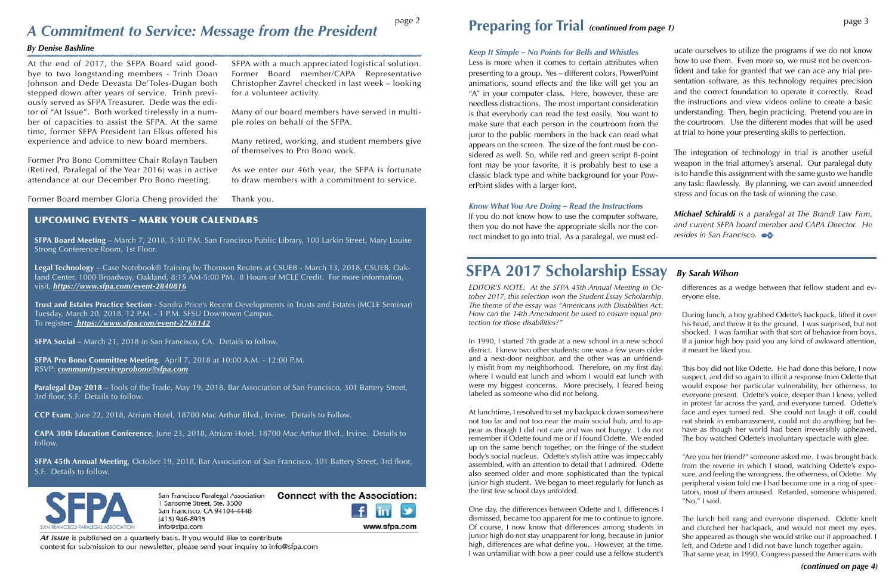At the end of 2017, the SFPA Board said goodbye to two longstanding members - Trinh Doan Johnson and Dede Devasta De'Toles-Dugan both stepped down after years of service. Trinh previously served as SFPA Treasurer. Dede was the editor of "At Issue". Both worked tirelessly in a number of capacities to assist the SFPA. At the same time, former SFPA President Ian Elkus offered his experience and advice to new board members.

Former Pro Bono Committee Chair Rolayn Tauben (Retired, Paralegal of the Year 2016) was in active attendance at our December Pro Bono meeting.

Former Board member Gloria Cheng provided the

SFPA with a much appreciated logistical solution. Former Board member/CAPA Representative Christopher Zavrel checked in last week – looking for a volunteer activity.

Many of our board members have served in multiple roles on behalf of the SFPA.

Many retired, working, and student members give of themselves to Pro Bono work.

As we enter our 46th year, the SFPA is fortunate to draw members with a commitment to service.

Thank you.

# **Preparing for Trial** (continued from page 1) page 3

## *Know What You Are Doing – Read the Instructions*

*Keep It Simple – No Points for Bells and Whistles* Less is more when it comes to certain attributes when presenting to a group. Yes – different colors, PowerPoint animations, sound effects and the like will get you an "A" in your computer class. Here, however, these are needless distractions. The most important consideration is that everybody can read the text easily. You want to make sure that each person in the courtroom from the juror to the public members in the back can read what appears on the screen. The size of the font must be considered as well. So, while red and green script 8-point font may be your favorite, it is probably best to use a classic black type and white background for your PowerPoint slides with a larger font. ucate ourselves to utilize the programs if we do not know how to use them. Even more so, we must not be overconfident and take for granted that we can ace any trial presentation software, as this technology requires precision and the correct foundation to operate it correctly. Read the instructions and view videos online to create a basic understanding. Then, begin practicing. Pretend you are in the courtroom. Use the different modes that will be used at trial to hone your presenting skills to perfection. The integration of technology in trial is another useful weapon in the trial attorney's arsenal. Our paralegal duty is to handle this assignment with the same gusto we handle any task: flawlessly. By planning, we can avoid unneeded stress and focus on the task of winning the case.

If you do not know how to use the computer software, then you do not have the appropriate skills nor the correct mindset to go into trial. As a paralegal, we must ed*Michael Schiraldi is a paralegal at The Brandi Law Firm, and current SFPA board member and CAPA Director. He resides in San Francisco.*

# **Preparing for Trial** *(continued from page 1) A Commitment to Service: Message from the President*

### *By Denise Bashline*

# **SFPA 2017 Scholarship Essay** *By Sarah Wilson*

*EDITOR'S NOTE: At the SFPA 45th Annual Meeting in October 2017, this selection won the Student Essay Scholarship. The theme of the essay was "Americans with Disabilities Act: How can the 14th Amendment be used to ensure equal protection for those disabilities?"*  differences as a wedge between that fellow student and everyone else.

In 1990, I started 7th grade at a new school in a new school district. I knew two other students: one was a few years older and a next-door neighbor, and the other was an unfriendly misfit from my neighborhood. Therefore, on my first day, where I would eat lunch and whom I would eat lunch with were my biggest concerns. More precisely, I feared being labeled as someone who did not belong. At lunchtime, I resolved to set my backpack down somewhere not too far and not too near the main social hub, and to appear as though I did not care and was not hungry. I do not remember if Odette found me or if I found Odette. We ended If a junior high boy paid you any kind of awkward attention, it meant he liked you. This boy did not like Odette. He had done this before, I now suspect, and did so again to illicit a response from Odette that would expose her particular vulnerability, her otherness, to everyone present. Odette's voice, deeper than I knew, yelled in protest far across the yard, and everyone turned. Odette's face and eyes turned red. She could not laugh it off, could not shrink in embarrassment, could not do anything but behave as though her world had been irreversibly upheaved. The boy watched Odette's involuntary spectacle with glee.

During lunch, a boy grabbed Odette's backpack, lifted it over his head, and threw it to the ground. I was surprised, but not shocked. I was familiar with that sort of behavior from boys.

up on the same bench together, on the fringe of the student body's social nucleus. Odette's stylish attire was impeccably assembled, with an attention to detail that I admired. Odette also seemed older and more sophisticated than the typical junior high student. We began to meet regularly for lunch as the first few school days unfolded. "Are you her friend?" someone asked me. I was brought back from the reverie in which I stood, watching Odette's exposure, and feeling the wrongness, the otherness, of Odette. My peripheral vision told me I had become one in a ring of spectators, most of them amused. Retarded, someone whispered. "No," I said.

One day, the differences between Odette and I, differences I dismissed, became too apparent for me to continue to ignore. Of course, I now know that differences among students in junior high do not stay unapparent for long, because in junior high, differences are what define you. However, at the time, I was unfamiliar with how a peer could use a fellow student's The lunch bell rang and everyone dispersed. Odette knelt and clutched her backpack, and would not meet my eyes. She appeared as though she would strike out if approached. I left, and Odette and I did not have lunch together again. That same year, in 1990, Congress passed the Americans with

۷

www.sfpa.com

## UPCOMING EVENTS – MARK YOUR CALENDARS

**SFPA Board Meeting** – March 7, 2018, 5:30 P.M. San Francisco Public Library, 100 Larkin Street, Mary Louise Strong Conference Room, 1st Floor.

**Legal Technology** – Case Notebook® Training by Thomson Reuters at CSUEB - March 13, 2018, CSUEB, Oakland Center, 1000 Broadway, Oakland, 8:15 AM-5:00 PM. 8 Hours of MCLE Credit. For more information, visit, *<https://www.sfpa.com/event-2840816>*

**Trust and Estates Practice Section** - Sandra Price's Recent Developments in Trusts and Estates (MCLE Seminar) Tuesday, March 20, 2018. 12 P.M. - 1 P.M. SFSU Downtown Campus. To register: *<https://www.sfpa.com/event-2768142>*

**SFPA Social** – March 21, 2018 in San Francisco, CA. Details to follow.

**SFPA Pro Bono Committee Meeting**. April 7, 2018 at 10:00 A.M. - 12:00 P.M. RSVP: *[communityserviceprobono@sfpa.com](mailto:communityserviceprobono%40sfpa.com?subject=)*

**Paralegal Day 2018** – Tools of the Trade, May 19, 2018, Bar Association of San Francisco, 301 Battery Street, 3rd floor, S.F. Details to follow.

**CCP Exam**, June 22, 2018, Atrium Hotel, 18700 Mac Arthur Blvd., Irvine. Details to Follow.

**CAPA 30th Education Conference**, June 23, 2018, Atrium Hotel, 18700 Mac Arthur Blvd., Irvine. Details to follow.

**SFPA 45th Annual Meeting**, October 19, 2018, Bar Association of San Francisco, 301 Battery Street, 3rd floor, S.F. Details to follow.



**Connect with the Association:** San Francisco Paralegal Association 1 Sansome Street, Ste. 3500 San Francisco, CA 94104-4448  $(415)$  946-8935 info@sfpa.com

At Issue is published on a quarterly basis. If you would like to contribute content for submission to our newsletter, please send your inquiry to info@sfpa.com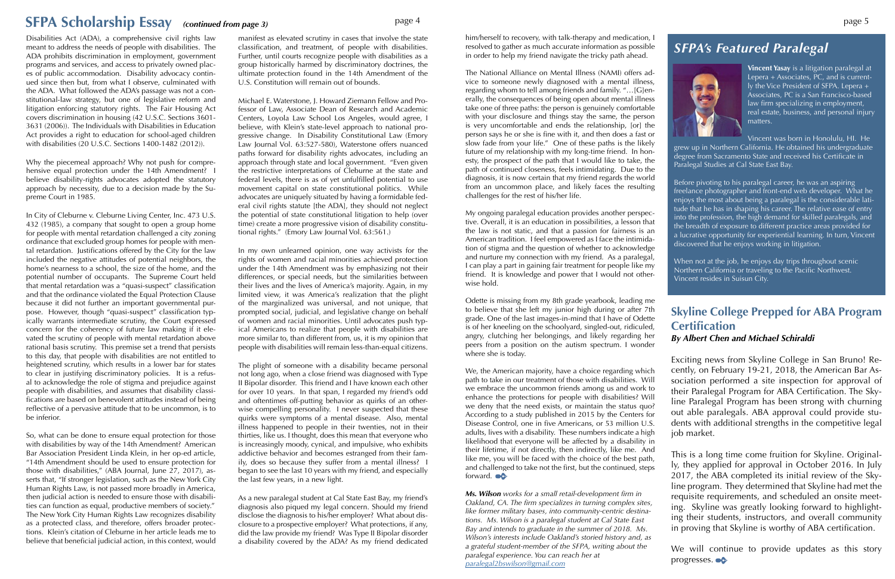## **SFPA Scholarship Essay** *(continued from page 3)* page 4 page 5

Disabilities Act (ADA), a comprehensive civil rights law meant to address the needs of people with disabilities. The ADA prohibits discrimination in employment, government programs and services, and access to privately owned places of public accommodation. Disability advocacy continued since then but, from what I observe, culminated with the ADA. What followed the ADA's passage was not a constitutional-law strategy, but one of legislative reform and litigation enforcing statutory rights. The Fair Housing Act covers discrimination in housing (42 U.S.C. Sections 3601- 3631 (2006)). The Individuals with Disabilities in Education Act provides a right to education for school-aged children with disabilities (20 U.S.C. Sections 1400-1482 (2012)).

Why the piecemeal approach? Why not push for comprehensive equal protection under the 14th Amendment? I believe disability-rights advocates adopted the statutory approach by necessity, due to a decision made by the Supreme Court in 1985.

In City of Cleburne v. Cleburne Living Center, Inc. 473 U.S. 432 (1985), a company that sought to open a group home for people with mental retardation challenged a city zoning ordinance that excluded group homes for people with mental retardation. Justifications offered by the City for the law included the negative attitudes of potential neighbors, the home's nearness to a school, the size of the home, and the potential number of occupants. The Supreme Court held that mental retardation was a "quasi-suspect" classification and that the ordinance violated the Equal Protection Clause because it did not further an important governmental purpose. However, though "quasi-suspect" classification typically warrants intermediate scrutiny, the Court expressed concern for the coherency of future law making if it elevated the scrutiny of people with mental retardation above rational basis scrutiny. This premise set a trend that persists to this day, that people with disabilities are not entitled to heightened scrutiny, which results in a lower bar for states to clear in justifying discriminatory policies. It is a refusal to acknowledge the role of stigma and prejudice against people with disabilities, and assumes that disability classifications are based on benevolent attitudes instead of being reflective of a pervasive attitude that to be uncommon, is to be inferior.

So, what can be done to ensure equal protection for those with disabilities by way of the 14th Amendment? American Bar Association President Linda Klein, in her op-ed article, "14th Amendment should be used to ensure protection for those with disabilities," (ABA Journal, June 27, 2017), asserts that, "If stronger legislation, such as the New York City Human Rights Law, is not passed more broadly in America, then judicial action is needed to ensure those with disabilities can function as equal, productive members of society." The New York City Human Rights Law recognizes disability as a protected class, and therefore, offers broader protections. Klein's citation of Cleburne in her article leads me to believe that beneficial judicial action, in this context, would

manifest as elevated scrutiny in cases that involve the state classification, and treatment, of people with disabilities. Further, until courts recognize people with disabilities as a group historically harmed by discriminatory doctrines, the ultimate protection found in the 14th Amendment of the U.S. Constitution will remain out of bounds.

> When not at the job, he enjoys day trips throughout scenic Northern California or traveling to the Pacific Northwest. Vincent resides in Suisun City.

Michael E. Waterstone, J. Howard Ziemann Fellow and Professor of Law, Associate Dean of Research and Academic Centers, Loyola Law School Los Angeles, would agree, I believe, with Klein's state-level approach to national progressive change. In Disability Constitutional Law (Emory Law Journal Vol. 63:527-580), Waterstone offers nuanced paths forward for disability rights advocates, including an approach through state and local government. "Even given the restrictive interpretations of Cleburne at the state and federal levels, there is as of yet unfulfilled potential to use movement capital on state constitutional politics. While advocates are uniquely situated by having a formidable federal civil rights statute [the ADA], they should not neglect the potential of state constitutional litigation to help (over time) create a more progressive vision of disability constitutional rights." (Emory Law Journal Vol. 63:561.)

> We, the American majority, have a choice regarding which path to take in our treatment of those with disabilities. Will we embrace the uncommon friends among us and work to enhance the protections for people with disabilities? Will we deny that the need exists, or maintain the status quo? According to a study published in 2015 by the Centers for Disease Control, one in five Americans, or 53 million U.S. adults, lives with a disability. These numbers indicate a high likelihood that everyone will be affected by a disability in their lifetime, if not directly, then indirectly, like me. And like me, you will be faced with the choice of the best path, and challenged to take not the first, but the continued, steps forward.

In my own unlearned opinion, one way activists for the rights of women and racial minorities achieved protection under the 14th Amendment was by emphasizing not their differences, or special needs, but the similarities between their lives and the lives of America's majority. Again, in my limited view, it was America's realization that the plight of the marginalized was universal, and not unique, that prompted social, judicial, and legislative change on behalf of women and racial minorities. Until advocates push typical Americans to realize that people with disabilities are more similar to, than different from, us, it is my opinion that people with disabilities will remain less-than-equal citizens.

The plight of someone with a disability became personal not long ago, when a close friend was diagnosed with Type II Bipolar disorder. This friend and I have known each other for over 10 years. In that span, I regarded my friend's odd and oftentimes off-putting behavior as quirks of an otherwise compelling personality. I never suspected that these quirks were symptoms of a mental disease. Also, mental illness happened to people in their twenties, not in their thirties, like us. I thought, does this mean that everyone who is increasingly moody, cynical, and impulsive, who exhibits addictive behavior and becomes estranged from their family, does so because they suffer from a mental illness? I began to see the last 10 years with my friend, and especially the last few years, in a new light.

> We will continue to provide updates as this story progresses.

As a new paralegal student at Cal State East Bay, my friend's diagnosis also piqued my legal concern. Should my friend disclose the diagnosis to his/her employer? What about disclosure to a prospective employer? What protections, if any, did the law provide my friend? Was Type II Bipolar disorder a disability covered by the ADA? As my friend dedicated

## *SFPA's Featured Paralegal*



**Vincent Yasay** is a litigation paralegal at Lepera + Associates, PC, and is currently the Vice President of SFPA. Lepera + Associates, PC is a San Francisco-based law firm specializing in employment, real estate, business, and personal injury matters.

Vincent was born in Honolulu, HI. He grew up in Northern California. He obtained his undergraduate degree from Sacramento State and received his Certificate in Paralegal Studies at Cal State East Bay.

Before pivoting to his paralegal career, he was an aspiring freelance photographer and front-end web developer. What he enjoys the most about being a paralegal is the considerable latitude that he has in shaping his career. The relative ease of entry into the profession, the high demand for skilled paralegals, and the breadth of exposure to different practice areas provided for a lucrative opportunity for experiential learning. In turn, Vincent discovered that he enjoys working in litigation.

him/herself to recovery, with talk-therapy and medication, I resolved to gather as much accurate information as possible in order to help my friend navigate the tricky path ahead.

The National Alliance on Mental Illness (NAMI) offers advice to someone newly diagnosed with a mental illness, regarding whom to tell among friends and family. "…[G]enerally, the consequences of being open about mental illness take one of three paths: the person is genuinely comfortable with your disclosure and things stay the same, the person is very uncomfortable and ends the relationship, [or] the person says he or she is fine with it, and then does a fast or slow fade from your life." One of these paths is the likely future of my relationship with my long-time friend. In honesty, the prospect of the path that I would like to take, the path of continued closeness, feels intimidating. Due to the diagnosis, it is now certain that my friend regards the world from an uncommon place, and likely faces the resulting challenges for the rest of his/her life.

My ongoing paralegal education provides another perspective. Overall, it is an education in possibilities, a lesson that the law is not static, and that a passion for fairness is an American tradition. I feel empowered as I face the intimidation of stigma and the question of whether to acknowledge and nurture my connection with my friend. As a paralegal, I can play a part in gaining fair treatment for people like my friend. It is knowledge and power that I would not otherwise hold.

Odette is missing from my 8th grade yearbook, leading me to believe that she left my junior high during or after 7th grade. One of the last images-in-mind that I have of Odette is of her kneeling on the schoolyard, singled-out, ridiculed, angry, clutching her belongings, and likely regarding her peers from a position on the autism spectrum. I wonder where she is today.

*Ms. Wilson works for a small retail-development firm in Oakland, CA. The firm specializes in turning complex sites, like former military bases, into community-centric destinations. Ms. Wilson is a paralegal student at Cal State East Bay and intends to graduate in the summer of 2018. Ms. Wilson's interests include Oakland's storied history and, as a grateful student-member of the SFPA, writing about the paralegal experience. You can reach her at paralegal2bswilson@gmail.com*

## **Skyline College Prepped for ABA Program Certification** *By Albert Chen and Michael Schiraldi*

Exciting news from Skyline College in San Bruno! Recently, on February 19-21, 2018, the American Bar Association performed a site inspection for approval of their Paralegal Program for ABA Certification. The Skyline Paralegal Program has been strong with churning out able paralegals. ABA approval could provide students with additional strengths in the competitive legal job market.

This is a long time come fruition for Skyline. Originally, they applied for approval in October 2016. In July 2017, the ABA completed its initial review of the Skyline program. They determined that Skyline had met the requisite requirements, and scheduled an onsite meeting. Skyline was greatly looking forward to highlighting their students, instructors, and overall community in proving that Skyline is worthy of ABA certification.